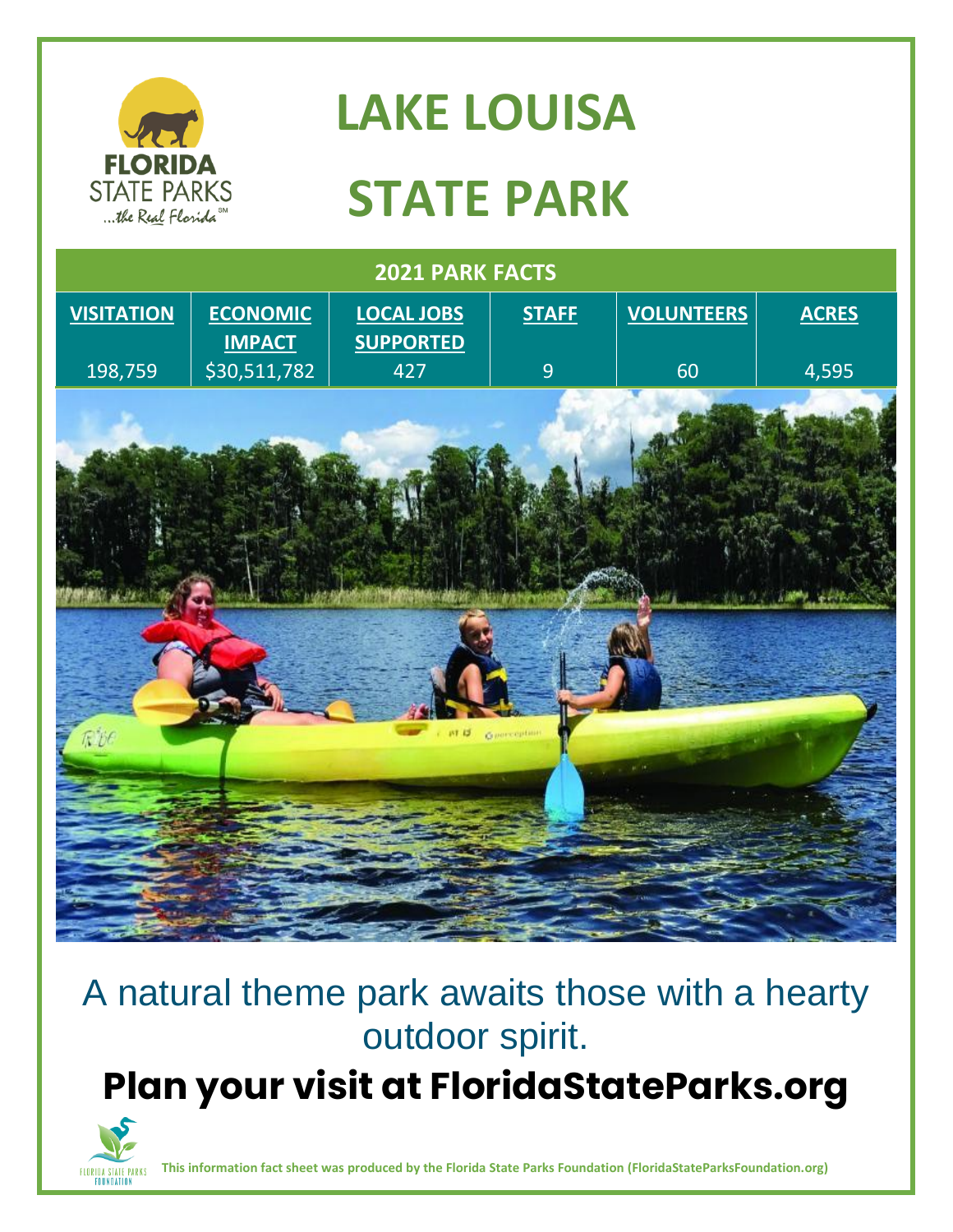

## A natural theme park awaits those with a hearty outdoor spirit.

**Plan your visit at FloridaStateParks.org**



**This information fact sheet was produced by the Florida State Parks Foundation (FloridaStateParksFoundation.org)**